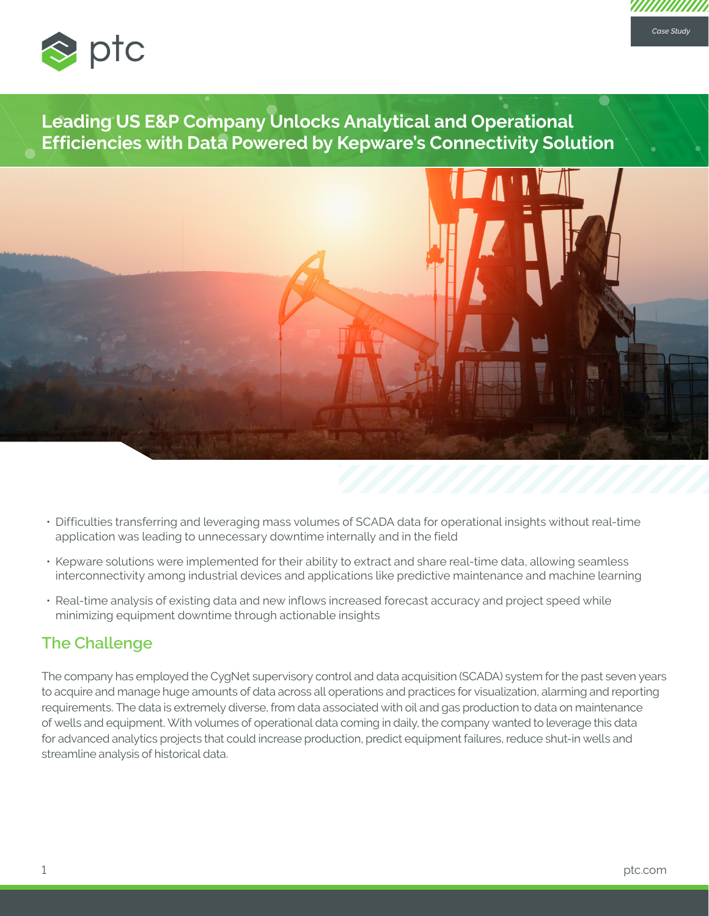

**Leading US E&P Company Unlocks Analytical and Operational Efficiencies with Data Powered by Kepware's Connectivity Solution**



- Difficulties transferring and leveraging mass volumes of SCADA data for operational insights without real-time application was leading to unnecessary downtime internally and in the field
- Kepware solutions were implemented for their ability to extract and share real-time data, allowing seamless interconnectivity among industrial devices and applications like predictive maintenance and machine learning
- Real-time analysis of existing data and new inflows increased forecast accuracy and project speed while minimizing equipment downtime through actionable insights

# **The Challenge**

The company has employed the CygNet supervisory control and data acquisition (SCADA) system for the past seven years to acquire and manage huge amounts of data across all operations and practices for visualization, alarming and reporting requirements. The data is extremely diverse, from data associated with oil and gas production to data on maintenance of wells and equipment. With volumes of operational data coming in daily, the company wanted to leverage this data for advanced analytics projects that could increase production, predict equipment failures, reduce shut-in wells and streamline analysis of historical data.

*Case Study*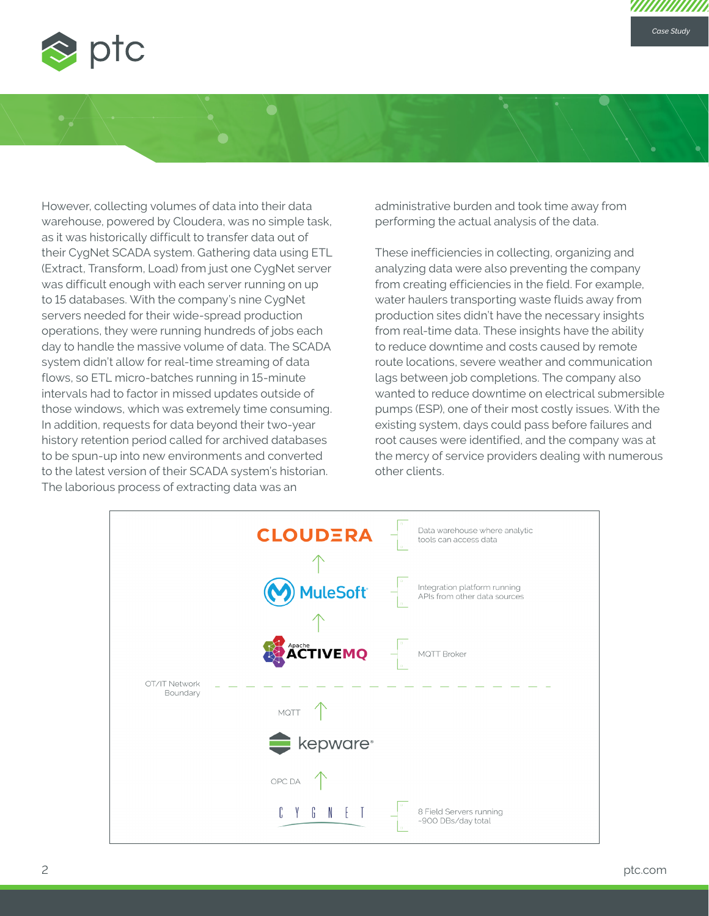

However, collecting volumes of data into their data warehouse, powered by Cloudera, was no simple task, as it was historically difficult to transfer data out of their CygNet SCADA system. Gathering data using ETL (Extract, Transform, Load) from just one CygNet server was difficult enough with each server running on up to 15 databases. With the company's nine CygNet servers needed for their wide-spread production operations, they were running hundreds of jobs each day to handle the massive volume of data. The SCADA system didn't allow for real-time streaming of data flows, so ETL micro-batches running in 15-minute intervals had to factor in missed updates outside of those windows, which was extremely time consuming. In addition, requests for data beyond their two-year history retention period called for archived databases to be spun-up into new environments and converted to the latest version of their SCADA system's historian. The laborious process of extracting data was an

administrative burden and took time away from performing the actual analysis of the data.

These inefficiencies in collecting, organizing and analyzing data were also preventing the company from creating efficiencies in the field. For example, water haulers transporting waste fluids away from production sites didn't have the necessary insights from real-time data. These insights have the ability to reduce downtime and costs caused by remote route locations, severe weather and communication lags between job completions. The company also wanted to reduce downtime on electrical submersible pumps (ESP), one of their most costly issues. With the existing system, days could pass before failures and root causes were identified, and the company was at the mercy of service providers dealing with numerous other clients.